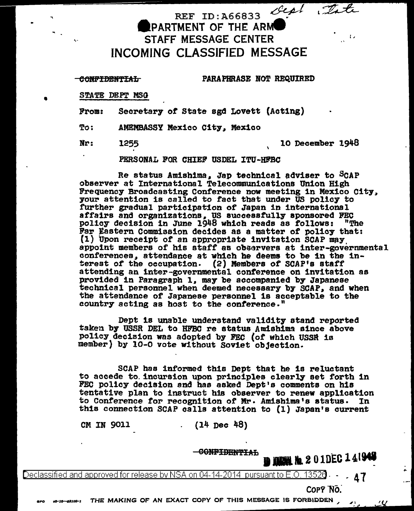REF ID:A66833 **PARTMENT OF THE ARMOR** STAFF MESSAGE CENTER INCOMING CLASSIFIED MESSAGE

#### eofi'IBBff'l'IAL

...

•

PARAPHRASE BOT REQUIRED

STATE DEPT MSG

From: Secretary *ot* State sgd Lovett (Acting)

To: AMEMBASSY Mexico City. Mexico

# Nr: 1255 10 December 1948

PERSONAL FOR CHIEF USDEL ITU-HFBC

Re status Amishima, Jap technical adviser to SCAP<br>observer at International Telecommunications Union High Frequency Broadcasting Conference now meeting in Mexico City, your attention is called to fact that under US policy to further gradual participation *ot* Japan in international affairs and organizations. US auccesstully sponsored FEC policy decision in June 1948 which reads as follows: "The Far ¥astern Commission decides as a matter *ot* policy that: (1) Upon receipt of an appropriate invitation SCAP may appoint members of his staff as observers at inter-governmental conferences, attendance at which he deems to be in the interest of the occupation. (2) Members *ot* SCAP's staff attending an inter-governmental conference on invitation as provided in Paragraph 1, may be accompanied by Japanese technical personnel when deemed necessary by SCAP, and when the attendance of Japanese personnel is acceptable to the country acting as host to the conference."

Dept is unable understand validity stand reported taken by USSR DEL to HFBC re status Amishima since above policy decision was adopted by FEC (of which USSR is member) by 10-0 vote without soviet objection.

SCAP has informed this Dept that he is reluctant to accede to.incursion upon principles clearly set forth in FEC policy decision and has asked Dept's comments on his tentative plan to instruct h1B observer to renew application to Conference *tor* recognition or Mr· Amish1ma's status. In this connection SCAP calls attention to (1) Japan's current

CM IN 9011 (14 Dec 48)

GONFIDENTIAL **In HIMM No. 2**01DEC141948

Declassified and approved for release by NSA on 04-14-2014 pursuant to E.O. 1352 $\mathbf{\theta}$ 

COPY 'No:

 $_{00-10-53109-1}$  THE MAKING OF AN EXACT COPY OF THIS MESSAGE IS FORBIDDEN , ...